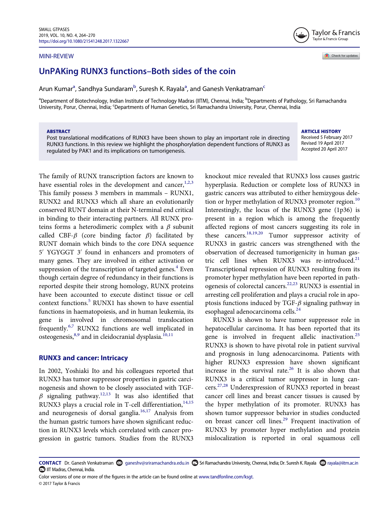#### MINI-REVIEW



Check for updates

# UnPAKing RUNX3 functions–Both sides of the coin

Arun Kum[a](#page-0-0)r<sup>a</sup>, Sandhya Sundaram<sup>[b](#page-0-0)</sup>, Suresh K. Rayala<sup>a</sup>, and Ganesh Venkatraman<sup>[c](#page-0-1)</sup>

<span id="page-0-1"></span><span id="page-0-0"></span><sup>a</sup>Department of Biotechnology, Indian Institute of Technology Madras (IITM), Chennai, India; <sup>b</sup>Departments of Pathology, Sri Ramachandra University, Porur, Chennai, India; <sup>c</sup>Departments of Human Genetics, Sri Ramachandra University, Porur, Chennai, India

#### ABSTRACT

Post translational modifications of RUNX3 have been shown to play an important role in directing RUNX3 functions. In this review we highlight the phosphorylation dependent functions of RUNX3 as regulated by PAK1 and its implications on tumorigenesis.

#### ARTICLE HISTORY

Received 5 February 2017 Revised 19 April 2017 Accepted 20 April 2017

The family of RUNX transcription factors are known to have essential roles in the development and cancer,  $1,2,3$ This family possess 3 members in mammals – RUNX1, RUNX2 and RUNX3 which all share an evolutionarily conserved RUNT domain at their N-terminal end critical in binding to their interacting partners. All RUNX proteins forms a heterodimeric complex with a  $\beta$  subunit called CBF- $\beta$  (core binding factor  $\beta$ ) facilitated by RUNT domain which binds to the core DNA sequence 5' YGYGGT 3' found in enhancers and promoters of many genes. They are involved in either activation or suppression of the transcription of targeted genes.<sup>[4](#page-4-0)</sup> Even though certain degree of redundancy in their functions is reported despite their strong homology, RUNX proteins have been accounted to execute distinct tissue or cell context functions.<sup>[5](#page-4-1)</sup> RUNX1 has shown to have essential functions in haematopoiesis, and in human leukemia, its gene is involved in chromosomal translocation frequently.[6,7](#page-4-2) RUNX2 functions are well implicated in osteogenesis, [8,9](#page-4-3) and in cleidocranial dysplasia.<sup>[10,11](#page-4-4)</sup>

#### RUNX3 and cancer: Intricacy

In 2002, Yoshiaki Ito and his colleagues reported that RUNX3 has tumor suppressor properties in gastric carcinogenesis and shown to be closely associated with TGF- $\beta$  signaling pathway.<sup>[12,13](#page-4-5)</sup> It was also identified that RUNX3 plays a crucial role in T-cell differentiation,<sup>[14,15](#page-4-6)</sup> and neurogenesis of dorsal ganglia.<sup>[16,17](#page-4-7)</sup> Analysis from the human gastric tumors have shown significant reduction in RUNX3 levels which correlated with cancer progression in gastric tumors. Studies from the RUNX3

knockout mice revealed that RUNX3 loss causes gastric hyperplasia. Reduction or complete loss of RUNX3 in gastric cancers was attributed to either hemizygous dele-tion or hyper methylation of RUNX3 promoter region.<sup>[10](#page-4-4)</sup> Interestingly, the locus of the RUNX3 gene (1p36) is present in a region which is among the frequently affected regions of most cancers suggesting its role in these cancers.[18,19,20](#page-4-8) Tumor suppressor activity of RUNX3 in gastric cancers was strengthened with the observation of decreased tumorigenicity in human gastric cell lines when RUNX3 was re-introduced. $21$ Transcriptional repression of RUNX3 resulting from its promoter hyper methylation have been reported in pathogenesis of colorectal cancers[.22,23](#page-4-10) RUNX3 is essential in arresting cell proliferation and plays a crucial role in apoptosis functions induced by TGF- $\beta$  signaling pathway in esophageal adenocarcinoma cells.<sup>24</sup>

RUNX3 is shown to have tumor suppressor role in hepatocellular carcinoma. It has been reported that its gene is involved in frequent allelic inactivation.<sup>[25](#page-4-12)</sup> RUNX3 is shown to have pivotal role in patient survival and prognosis in lung adenocarcinoma. Patients with higher RUNX3 expression have shown significant increase in the survival rate. $26$  It is also shown that RUNX3 is a critical tumor suppressor in lung cancers.[27,28](#page-4-14) Underexpression of RUNX3 reported in breast cancer cell lines and breast cancer tissues is caused by the hyper methylation of its promoter. RUNX3 has shown tumor suppressor behavior in studies conducted on breast cancer cell lines.<sup>29</sup> Frequent inactivation of RUNX3 by promoter hyper methylation and protein mislocalization is reported in oral squamous cell

CONTACT Dr. Ganesh Venkatraman **©** [ganeshv@sriramachandra.edu.in](mailto: ganeshv@sriramachandra.edu.in) **□** Sri Ramachandra University, Chennai, India; Dr. Suresh K. Rayala ② [rayala@iitm.ac.in](mailto:rayala@iitm.ac.in) **IIT Madras, Chennai, India.** 

Color versions of one or more of the figures in the article can be found online at [www.tandfonline.com/ksgt.](http://www.tandfonline.com/ksgt) © 2017 Taylor & Francis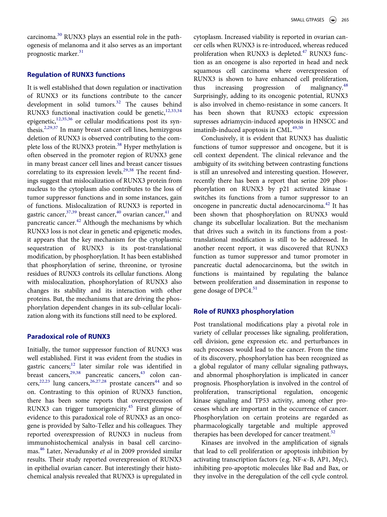carcinoma.[30](#page-5-1) RUNX3 plays an essential role in the pathogenesis of melanoma and it also serves as an important prognostic marker.<sup>[31](#page-5-2)</sup>

## Regulation of RUNX3 functions

It is well established that down regulation or inactivation of RUNX3 or its functions contribute to the cancer development in solid tumors.<sup>32</sup> The causes behind RUNX3 functional inactivation could be genetic, $12,33,34$ epigenetic,[12,35,36](#page-4-5) or cellular modifications post its synthesis.[2,29,37](#page-3-1) In many breast cancer cell lines, hemizygous deletion of RUNX3 is observed contributing to the com-plete loss of the RUNX3 protein.<sup>[38](#page-5-4)</sup> Hyper methylation is often observed in the promoter region of RUNX3 gene in many breast cancer cell lines and breast cancer tissues correlating to its expression levels.<sup>[29,38](#page-5-0)</sup> The recent findings suggest that mislocalization of RUNX3 protein from nucleus to the cytoplasm also contributes to the loss of tumor suppressor functions and in some instances, gain of functions. Mislocalization of RUNX3 is reported in gastric cancer,  $37,39$  breast cancer,  $40$  ovarian cancer,  $41$  and pancreatic cancer.<sup>42</sup> Although the mechanisms by which RUNX3 loss is not clear in genetic and epigenetic modes, it appears that the key mechanism for the cytoplasmic sequestration of RUNX3 is its post-translational modification, by phosphorylation. It has been established that phosphorylation of serine, threonine, or tyrosine residues of RUNX3 controls its cellular functions. Along with mislocalization, phosphorylation of RUNX3 also changes its stability and its interaction with other proteins. But, the mechanisms that are driving the phosphorylation dependent changes in its sub-cellular localization along with its functions still need to be explored.

## Paradoxical role of RUNX3

Initially, the tumor suppressor function of RUNX3 was well established. First it was evident from the studies in gastric cancers;[12](#page-4-5) later similar role was identified in breast cancers, <sup>[29,38](#page-5-0)</sup> pancreatic cancers, <sup>43</sup> colon cancers,  $22,23$  lung cancers,  $26,27,28$  prostate cancers<sup>44</sup> and so on. Contrasting to this opinion of RUNX3 function, there has been some reports that overexpression of RUNX3 can trigger tumorigenicity.<sup>[45](#page-5-11)</sup> First glimpse of evidence to this paradoxical role of RUNX3 as an oncogene is provided by Salto-Tellez and his colleagues. They reported overexpression of RUNX3 in nucleus from immunohistochemical analysis in basal cell carcinomas.[46](#page-5-12) Later, Nevadunsky et al in 2009 provided similar results. Their study reported overexpression of RUNX3 in epithelial ovarian cancer. But interestingly their histochemical analysis revealed that RUNX3 is upregulated in

cytoplasm. Increased viability is reported in ovarian cancer cells when RUNX3 is re-introduced, whereas reduced proliferation when RUNX3 is depleted.<sup>[47](#page-5-13)</sup> RUNX3 function as an oncogene is also reported in head and neck squamous cell carcinoma where overexpression of RUNX3 is shown to have enhanced cell proliferation, thus increasing progression of malignancy.<sup>[48](#page-5-14)</sup> Surprisingly, adding to its oncogenic potential, RUNX3 is also involved in chemo-resistance in some cancers. It has been shown that RUNX3 ectopic expression supresses adriamycin-induced apoptosis in HNSCC and imatinib-induced apoptosis in CML.<sup>[49,50](#page-5-15)</sup>

Conclusively, it is evident that RUNX3 has dualistic functions of tumor suppressor and oncogene, but it is cell context dependent. The clinical relevance and the ambiguity of its switching between contrasting functions is still an unresolved and interesting question. However, recently there has been a report that serine 209 phosphorylation on RUNX3 by p21 activated kinase 1 switches its functions from a tumor suppressor to an oncogene in pancreatic ductal adenocarcinoma[.42](#page-5-8) It has been shown that phosphorylation on RUNX3 would change its subcellular localization. But the mechanism that drives such a switch in its functions from a posttranslational modification is still to be addressed. In another recent report, it was discovered that RUNX3 function as tumor suppressor and tumor promoter in pancreatic ductal adenocarcinoma, but the switch in functions is maintained by regulating the balance between proliferation and dissemination in response to gene dosage of DPC4.<sup>[51](#page-5-16)</sup>

## Role of RUNX3 phosphorylation

Post translational modifications play a pivotal role in variety of cellular processes like signaling, proliferation, cell division, gene expression etc. and perturbances in such processes would lead to the cancer. From the time of its discovery, phosphorylation has been recognized as a global regulator of many cellular signaling pathways, and abnormal phosphorylation is implicated in cancer prognosis. Phosphorylation is involved in the control of proliferation, transcriptional regulation, oncogenic kinase signaling and TP53 activity, among other processes which are important in the occurrence of cancer. Phosphorylation on certain proteins are regarded as pharmacologically targetable and multiple approved therapies has been developed for cancer treatment.<sup>[52](#page-5-17)</sup>

Kinases are involved in the amplification of signals that lead to cell proliferation or apoptosis inhibition by activating transcription factors (e.g. NF-k-B, AP1, Myc), inhibiting pro-apoptotic molecules like Bad and Bax, or they involve in the deregulation of the cell cycle control.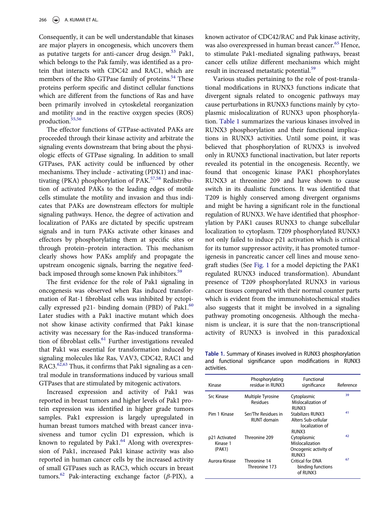Consequently, it can be well understandable that kinases are major players in oncogenesis, which uncovers them as putative targets for anti-cancer drug design.<sup>[53](#page-6-0)</sup> Pak1, which belongs to the Pak family, was identified as a protein that interacts with CDC42 and RAC1, which are members of the Rho GTPase family of proteins.<sup>[54](#page-6-1)</sup> These proteins perform specific and distinct cellular functions which are different from the functions of Ras and have been primarily involved in cytoskeletal reorganization and motility and in the reactive oxygen species (ROS) production.[55,56](#page-6-2)

The effector functions of GTPase-activated PAKs are proceeded through their kinase activity and arbitrate the signaling events downstream that bring about the physiologic effects of GTPase signaling. In addition to small GTPases, PAK activity could be influenced by other mechanisms. They include - activating (PDK1) and inac-tivating (PKA) phosphorylation of PAK.<sup>[57,58](#page-6-3)</sup> Redistribution of activated PAKs to the leading edges of motile cells stimulate the motility and invasion and thus indicates that PAKs are downstream effectors for multiple signaling pathways. Hence, the degree of activation and localization of PAKs are dictated by specific upstream signals and in turn PAKs activate other kinases and effectors by phosphorylating them at specific sites or through protein–protein interaction. This mechanism clearly shows how PAKs amplify and propagate the upstream oncogenic signals, barring the negative feedback imposed through some known Pak inhibitors.<sup>59</sup>

The first evidence for the role of Pak1 signaling in oncogenesis was observed when Ras induced transformation of Rat-1 fibroblast cells was inhibited by ectopically expressed p21- binding domain (PBD) of Pak1. $^{60}$  $^{60}$  $^{60}$ Later studies with a Pak1 inactive mutant which does not show kinase activity confirmed that Pak1 kinase activity was necessary for the Ras-induced transformation of fibroblast cells.<sup>61</sup> Further investigations revealed that Pak1 was essential for transformation induced by signaling molecules like Ras, VAV3, CDC42, RAC1 and RAC3.<sup>[62,63](#page-6-7)</sup> Thus, it confirms that Pak1 signaling as a central module in transformations induced by various small GTPases that are stimulated by mitogenic activators.

<span id="page-2-0"></span>Increased expression and activity of Pak1 was reported in breast tumors and higher levels of Pak1 protein expression was identified in higher grade tumors samples. Pak1 expression is largely upregulated in human breast tumors matched with breast cancer invasiveness and tumor cyclin D1 expression, which is known to regulated by Pak1.<sup>[64](#page-6-8)</sup> Along with overexpression of Pak1, increased Pak1 kinase activity was also reported in human cancer cells by the increased activity of small GTPases such as RAC3, which occurs in breast tumors.<sup>[62](#page-6-7)</sup> Pak-interacting exchange factor ( $\beta$ -PIX), a

known activator of CDC42/RAC and Pak kinase activity, was also overexpressed in human breast cancer.<sup>[65](#page-6-9)</sup> Hence, to stimulate Pak1-mediated signaling pathways, breast cancer cells utilize different mechanisms which might result in increased metastatic potential.<sup>[59](#page-6-4)</sup>

Various studies pertaining to the role of post-translational modifications in RUNX3 functions indicate that divergent signals related to oncogenic pathways may cause perturbations in RUNX3 functions mainly by cytoplasmic mislocalization of RUNX3 upon phosphorylation. [Table 1](#page-2-0) summarizes the various kinases involved in RUNX3 phosphorylation and their functional implications in RUNX3 activities. Until some point, it was believed that phosphorylation of RUNX3 is involved only in RUNX3 functional inactivation, but later reports revealed its potential in the oncogenesis. Recently, we found that oncogenic kinase PAK1 phosphorylates RUNX3 at threonine 209 and have shown to cause switch in its dualistic functions. It was identified that T209 is highly conserved among divergent organisms and might be having a significant role in the functional regulation of RUNX3. We have identified that phosphorylation by PAK1 causes RUNX3 to change subcellular localization to cytoplasm. T209 phosphorylated RUNX3 not only failed to induce p21 activation which is critical for its tumor suppressor activity, it has promoted tumorigenesis in pancreatic cancer cell lines and mouse xenograft studies (See [Fig. 1](#page-3-2) for a model depicting the PAK1 regulated RUNX3 induced transformation). Abundant presence of T209 phosphorylated RUNX3 in various cancer tissues compared with their normal counter parts which is evident from the immunohistochemical studies also suggests that it might be involved in a signaling pathway promoting oncogenesis. Although the mechanism is unclear, it is sure that the non-transcriptional activity of RUNX3 is involved in this paradoxical

Table 1. Summary of Kinases involved in RUNX3 phosphorylation and functional significance upon modifications in RUNX3 activities.

| Kinase                              | Phosphorylating<br>residue in RUNX3 | <b>Functional</b><br>significance                                   | Reference |
|-------------------------------------|-------------------------------------|---------------------------------------------------------------------|-----------|
| <b>Src Kinase</b>                   | Multiple Tyrosine<br>Residues       | Cytoplasmic<br>Mislocalization of<br>RUNX3                          | 39        |
| Pim 1 Kinase                        | Ser/Thr Residues in<br>RUNT domain  | Stabilizes RUNX3<br>Alters Sub-cellular<br>localization of<br>RUNX3 | 41        |
| p21 Activated<br>Kinase 1<br>(PAK1) | Threonine 209                       | Cytoplasmic<br>Mislocalization<br>Oncogenic activity of<br>RUNX3    | 42        |
| Aurora Kinase                       | Threonine 14<br>Threonine 173       | Critical for DNA<br>binding functions<br>of RUNX3                   | 67        |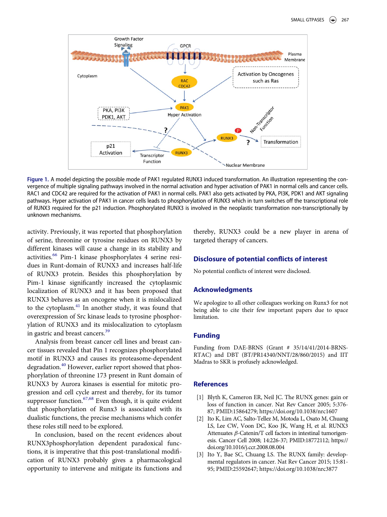<span id="page-3-2"></span>

Figure 1. A model depicting the possible mode of PAK1 regulated RUNX3 induced transformation. An illustration representing the convergence of multiple signaling pathways involved in the normal activation and hyper activation of PAK1 in normal cells and cancer cells. RAC1 and CDC42 are required for the activation of PAK1 in normal cells. PAK1 also gets activated by PKA, PI3K, PDK1 and AKT signaling pathways. Hyper activation of PAK1 in cancer cells leads to phosphorylation of RUNX3 which in turn switches off the transcriptional role of RUNX3 required for the p21 induction. Phosphorylated RUNX3 is involved in the neoplastic transformation non-transcriptionally by unknown mechanisms.

activity. Previously, it was reported that phosphorylation of serine, threonine or tyrosine residues on RUNX3 by different kinases will cause a change in its stability and activities.<sup>[66](#page-6-11)</sup> Pim-1 kinase phosphorylates 4 serine residues in Runt-domain of RUNX3 and increases half-life of RUNX3 protein. Besides this phosphorylation by Pim-1 kinase significantly increased the cytoplasmic localization of RUNX3 and it has been proposed that RUNX3 behaves as an oncogene when it is mislocalized to the cytoplasm.<sup>[41](#page-5-7)</sup> In another study, it was found that overexpression of Src kinase leads to tyrosine phosphorylation of RUNX3 and its mislocalization to cytoplasm in gastric and breast cancers.[39](#page-5-18)

Analysis from breast cancer cell lines and breast cancer tissues revealed that Pin 1 recognizes phosphorylated motif in RUNX3 and causes its proteasome-dependent degradation.<sup>[40](#page-5-6)</sup> However, earlier report showed that phosphorylation of threonine 173 present in Runt domain of RUNX3 by Aurora kinases is essential for mitotic progression and cell cycle arrest and thereby, for its tumor suppressor function. $67,68$  Even though, it is quite evident that phosphorylation of Runx3 is associated with its dualistic functions, the precise mechanisms which confer these roles still need to be explored.

<span id="page-3-1"></span><span id="page-3-0"></span>In conclusion, based on the recent evidences about RUNX3phosphorylation dependent paradoxical functions, it is imperative that this post-translational modification of RUNX3 probably gives a pharmacological opportunity to intervene and mitigate its functions and thereby, RUNX3 could be a new player in arena of targeted therapy of cancers.

## Disclosure of potential conflicts of interest

No potential conflicts of interest were disclosed.

## Acknowledgments

We apologize to all other colleagues working on Runx3 for not being able to cite their few important papers due to space limitation.

#### Funding

Funding from DAE-BRNS (Grant # 35/14/41/2014-BRNS-RTAC) and DBT (BT/PR14340/NNT/28/860/2015) and IIT Madras to SKR is profusely acknowledged.

## **References**

- [1] Blyth K, Cameron ER, Neil JC. The RUNX genes: gain or loss of function in cancer. Nat Rev Cancer 2005; 5:376- 87; PMID:[15864279; https://doi.org/10.1038/nrc1607](https://doi.org/10.1038/nrc1607)
- [2] Ito K, Lim AC, Salto-Tellez M, Motoda L, Osato M, Chuang LS, Lee CW, Voon DC, Koo JK, Wang H, et al. RUNX3 Attenuates  $\beta$ -Catenin/T cell factors in intestinal tumorigenesis. Cancer Cell 2008; 14:226-37; PMID[:18772112; https://](https://doi.org/18772112) [doi.org/10.1016/j.ccr.2008.08.004](https://doi.org/10.1016/j.ccr.2008.08.004)
- [3] Ito Y, Bae SC, Chuang LS. The RUNX family: developmental regulators in cancer. Nat Rev Cancer 2015; 15:81- 95; PMID:[25592647; https://doi.org/10.1038/nrc3877](https://doi.org/10.1038/nrc3877)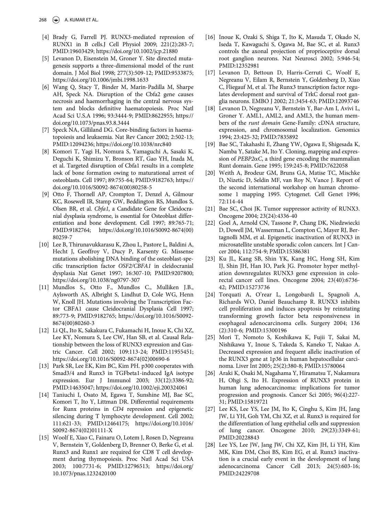- <span id="page-4-7"></span><span id="page-4-0"></span>[4] Brady G, Farrell PJ. RUNX3-mediated repression of RUNX1 in B cells.J Cell Physiol 2009; 221(2):283-7; PMID:[19603429; https://doi.org/10.1002/jcp.21880](https://doi.org/10.1002/jcp.21880)
- <span id="page-4-1"></span>[5] Levanon D, Eisenstein M, Groner Y. Site directed mutagenesis supports a three-dimensional model of the runt domain. J Mol Biol 1998; 277(3):509-12; PMID[:9533875;](https://doi.org/9533875) <https://doi.org/10.1006/jmbi.1998.1633>
- <span id="page-4-8"></span><span id="page-4-2"></span>[6] Wang Q, Stacy T, Binder M, Marin-Padilla M, Sharpe AH, Speck NA. Disruption of the Cbfa2 gene causes necrosis and haemorrhaging in the central nervous system and blocks definitive haematopoiesis. Proc Natl Acad Sci U.S.A 1996; 93:3444-9; PMID[:8622955; https://](https://doi.org/8622955) [doi.org/10.1073/pnas.93.8.3444](https://doi.org/10.1073/pnas.93.8.3444)
- [7] Speck NA, Gilliland DG. Core-binding factors in haematopoiesis and leukaemia. Nat Rev Cancer 2002; 2:502-13; PMID:[12094236; https://doi.org/10.1038/nrc840](https://doi.org/10.1038/nrc840)
- <span id="page-4-3"></span>[8] Komori T, Yagi H, Nomura S, Yamaguchi A, Sasaki K, Deguchi K, Shimizu Y, Bronson RT, Gao YH, Inada M, et al. Targeted disruption of Cbfa1 results in a complete lack of bone formation owing to maturational arrest of osteoblasts. Cell 1997; 89:755-64; PMID:[9182763; https://](https://doi.org/9182763) [doi.org/10.1016/S0092-8674\(00\)80258-5](https://doi.org/10.1016/S0092-8674(00)80258-5)
- <span id="page-4-9"></span>[9] Otto F, Thornell AP, Crompton T, Denzel A, Gilmour KC, Rosewell IR, Stamp GW, Beddington RS, Mundlos S, Olsen BR, et al. Cbfa1, a Candidate Gene for Cleidocranial dysplasia syndrome, is essential for Osteoblast differentiation and bone development. Cell 1997; 89:765-71; PMID[:9182764; https://doi.org/10.1016/S0092-8674\(00\)](https://doi.org/10.1016/S0092-8674(00)80259-7) [80259-7](https://doi.org/10.1016/S0092-8674(00)80259-7)
- <span id="page-4-10"></span><span id="page-4-4"></span>[10] Lee B, Thirunavukkarasu K, Zhou L, Pastore L, Baldini A, Hecht J, Geoffroy V, Ducy P, Karsenty G. Missense mutations abolishing DNA binding of the osteoblast-specific transcription factor OSF2/CBFA1 in cleidocranial dysplasia Nat Genet 1997; 16:307-10; PMID[:9207800;](https://doi.org/9207800) <https://doi.org/10.1038/ng0797-307>
- <span id="page-4-11"></span>[11] Mundlos S., Otto F., Mundlos C., Mulliken J.B., Aylsworth AS, Albright S, Lindhut D, Cole WG, Henn W, Knoll JH. Mutations involving the Transcription Factor CBFA1 cause Cleidocranial Dysplasia Cell 1997; 89:773-9; PMID:[9182765; https://doi.org/10.1016/S0092-](https://doi.org/10.1016/S0092-8674(00)80260-3) [8674\(00\)80260-3](https://doi.org/10.1016/S0092-8674(00)80260-3)
- <span id="page-4-12"></span><span id="page-4-5"></span>[12] Li QL, Ito K, Sakakura C, Fukamachi H, Inoue K, Chi XZ, Lee KY, Nomura S, Lee CW, Han SB, et al. Causal Relationship between the loss of RUNX3 expression and Gastric Cancer. Cell 2002; 109:113-24; PMID:[11955451;](https://doi.org/11955451) [https://doi.org/10.1016/S0092-8674\(02\)00690-6](https://doi.org/10.1016/S0092-8674(02)00690-6)
- <span id="page-4-13"></span>[13] Park SR, Lee EK, Kim BC, Kim PH. p300 cooperates with Smad3/4 and Runx3 in TGFbeta1-induced IgA isotype expression. Eur J Immunol 2003; 33(12):3386-92; PMID:[14635047; https://doi.org/10.1002/eji.200324061](https://doi.org/10.1002/eji.200324061)
- <span id="page-4-14"></span><span id="page-4-6"></span>[14] Taniuchi I, Osato M, Egawa T, Sunshine MJ, Bae SC, Komori T, Ito Y, Littman DR. Differential requirements for Runx proteins in CD4 repression and epigenetic silencing during T lymphocyte development. Cell 2002; 111:621-33; PMID:[12464175; https://doi.org/10.1016/](https://doi.org/10.1016/S0092-8674(02)01111-X) [S0092-8674\(02\)01111-X](https://doi.org/10.1016/S0092-8674(02)01111-X)
- [15] Woolf E, Xiao C, Fainaru O, Lotem J, Rosen D, Negreanu V, Bernstein Y, Goldenberg D, Brenner O, Berke G, et al. Runx3 and Runx1 are required for CD8 T cell development during thymopoiesis. Proc Natl Acad Sci USA 2003; 100:7731-6; PMID[:12796513; https://doi.org/](https://doi.org/12796513) [10.1073/pnas.1232420100](https://doi.org/10.1073/pnas.1232420100)
- [16] Inoue K, Ozaki S, Shiga T, Ito K, Masuda T, Okado N, Iseda T, Kawaguchi S, Ogawa M, Bae SC, et al. Runx3 controls the axonal projection of proprioceptive dorsal root ganglion neurons. Nat Neurosci 2002; 5:946-54; PMID:[12352981](https://doi.org/12352981)
- [17] Levanon D, Bettoun D, Harris-Cerruti C, Woolf E, Negreanu V, Eilam R, Bernstein Y, Goldenberg D, Xiao C, Fliegauf M, et al. The Runx3 transcription factor regulates development and survival of TrkC dorsal root ganglia neurons. EMBO J 2002; 21:3454-63; PMID:[12093746](https://doi.org/12093746)
- [18] Levanon D, Negreanu V, Bernstein Y, Bar-Am I, Avivi L, Groner Y. AML1, AML2, and AML3, the human members of the runt domain Gene-Family: cDNA structure, expression, and chromosomal localization. Genomics 1994; 23:425-32; PMID:[7835892](https://doi.org/7835892)
- [19] Bae SC, Takahashi E, Zhang YW, Ogawa E, Shigesada K, Namba Y, Satake M, Ito Y. Cloning, mapping and expression of  $PEBP2\alpha C$ , a third gene encoding the mammalian Runt domain. Gene 1995; 159:245-8; PMID[:7622058](https://doi.org/7622058)
- [20] Weith A, Brodeur GM, Bruns GA, Matise TC, Mischke D, Nizetic D, Seldin MF, van Roy N, Vance J. Report of the second international workshop on human chromosome 1 mapping 1995. Cytogenet. Cell Genet 1996; 72:114-44
- [21] Bae SC, Choi JK. Tumor suppressor activity of RUNX3. Oncogene 2004; 23(24):4336-40
- [22] Goel A, Arnold CN, Tassone P, Chang DK, Niedzwiecki D, Dowell JM, Wasserman L, Compton C, Mayer RJ, Bertagnolli MM, et al. Epigenetic inactivation of RUNX3 in microsatellite unstable sporadic colon cancers. Int J Cancer 2004; 112:754-9; PMID[:15386381](https://doi.org/15386381)
- [23] Ku JL, Kang SB, Shin YK, Kang HC, Hong SH, Kim IJ, Shin JH, Han IO, Park JG. Promoter hyper methylation downregulates RUNX3 gene expression in colorectal cancer cell lines. Oncogene 2004; 23(40):6736- 42; PMID:[15273736](https://doi.org/15273736)
- [24] Torquati A, O'rear L, Longobardi L, Spagnoli A, Richards WO, Daniel Beauchamp R. RUNX3 inhibits cell proliferation and induces apoptosis by reinstating transforming growth factor beta responsiveness in esophageal adenocarcinoma cells. Surgery 2004; 136 (2):310-6; PMID[:15300196](https://doi.org/15300196)
- [25] Mori T, Nomoto S, Koshikawa K, Fujii T, Sakai M, Nishikawa Y, Inoue S, Takeda S, Kaneko T, Nakao A. Decreased expression and frequent allelic inactivation of the RUNX3 gene at 1p36 in human hepatocellular carcinoma. Liver Int 2005; 25(2):380-8; PMID[:15780064](https://doi.org/15780064)
- [26] Araki K, Osaki M, Nagahama Y, Hiramatsu T, Nakamura H, Ohgi S, Ito H. Expression of RUNX3 protein in human lung adenocarcinoma: implications for tumor progression and prognosis. Cancer Sci 2005; 96(4):227- 31; PMID[:15819721](https://doi.org/15819721)
- [27] Lee KS, Lee YS, Lee JM, Ito K, Cinghu S, Kim JH, Jang JW, Li YH, Goh YM, Chi XZ, et al. Runx3 is required for the differentiation of lung epithelial cells and suppression of lung cancer. Oncogene 2010; 29(23):3349-61; PMID:[20228843](https://doi.org/20228843)
- [28] Lee YS, Lee JW, Jang JW, Chi XZ, Kim JH, Li YH, Kim MK, Kim DM, Choi BS, Kim EG, et al. Runx3 inactivation is a crucial early event in the development of lung adenocarcinoma Cancer Cell 2013; 24(5):603-16; PMID:[24229708](https://doi.org/24229708)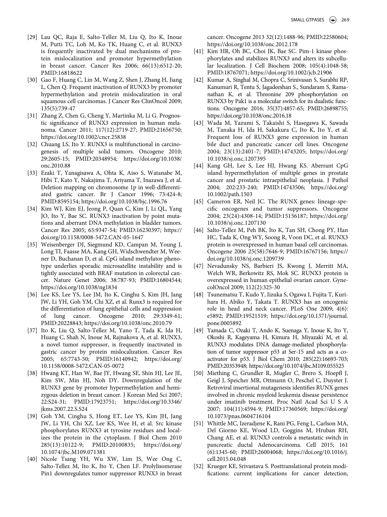- <span id="page-5-7"></span><span id="page-5-0"></span>[29] Lau QC, Raja E, Salto-Tellez M, Liu Q, Ito K, Inoue M, Putti TC, Loh M, Ko TK, Huang C, et al. RUNX3 is frequently inactivated by dual mechanisms of protein mislocalization and promoter hypermethylation in breast cancer. Cancer Res 2006; 66(13):6512-20; PMID[:16818622](https://doi.org/16818622)
- <span id="page-5-8"></span><span id="page-5-1"></span>[30] Gao F, Huang C, Lin M, Wang Z, Shen J, Zhang H, Jiang L, Chen Q. Frequent inactivation of RUNX3 by promoter hypermethylation and protein mislocalization in oral squamous cell carcinomas. J Cancer Res ClinOncol 2009; 135(5):739-47
- <span id="page-5-9"></span><span id="page-5-2"></span>[31] Zhang Z, Chen G, Cheng Y, Martinka M, Li G. Prognostic significance of RUNX3 expression in human melanoma. Cancer 2011; 117(12):2719-27; PMID:[21656750;](https://doi.org/21656750) <https://doi.org/10.1002/cncr.25838>
- <span id="page-5-3"></span>[32] Chuang LS, Ito Y. RUNX3 is multifunctional in carcinogenesis of multiple solid tumors. Oncogene 2010; 29:2605-15; PMID:[20348954; https://doi.org/10.1038/](https://doi.org/10.1038/onc.2010.88) [onc.2010.88](https://doi.org/10.1038/onc.2010.88)
- <span id="page-5-10"></span>[33] Ezaki T, Yanagisawa A, Ohta K, Aiso S, Watanabe M, Hibi T, Kato Y, Nakajima T, Ariyama T, Inazawa J, et al. Deletion mapping on chromosome 1p in well-differentiated gastric cancer. Br J Cancer 1996; 73:424-8; PMID:[8595154; https://doi.org/10.1038/bjc.1996.76](https://doi.org/10.1038/bjc.1996.76)
- <span id="page-5-11"></span>[34] Kim WJ, Kim EJ, Jeong P, Quan C, Kim J, Li QL, Yang JO, Ito Y, Bae SC. RUNX3 inactivation by point mutations and aberrant DNA methylation in bladder tumors. Cancer Res 2005; 65:9347-54; PMID[:16230397; https://](https://doi.org/16230397) [doi.org/10.1158/0008-5472.CAN-05-1647](https://doi.org/10.1158/0008-5472.CAN-05-1647)
- <span id="page-5-13"></span><span id="page-5-12"></span>[35] Weisenberger DJ, Siegmund KD, Campan M, Young J, Long TI, Faasse MA, Kang GH, Widschwendter M, Weener D, Buchanan D, et al. CpG island methylator phenotype underlies sporadic microsatellite instability and is tightly associated with BRAF mutation in colorectal cancer. Nature Genet 2006; 38:787-93; PMID:[16804544;](https://doi.org/16804544) <https://doi.org/10.1038/ng1834>
- <span id="page-5-14"></span>[36] Lee KS, Lee YS, Lee JM, Ito K, Cinghu S, Kim JH, Jang JW, Li YH, Goh YM, Chi XZ, et al. Runx3 is required for the differentiation of lung epithelial cells and suppression of lung cancer. Oncogene 2010; 29:3349-61; PMID:[20228843; https://doi.org/10.1038/onc.2010.79](https://doi.org/10.1038/onc.2010.79)
- <span id="page-5-15"></span><span id="page-5-5"></span>[37] Ito K, Liu Q, Salto-Tellez M, Yano T, Tada K, Ida H, Huang C, Shah N, Inoue M, Rajnakova A, et al. RUNX3, a novel tumor suppressor, is frequently inactivated in gastric cancer by protein mislocalization. Cancer Res 2005; 65:7743-50; PMID[:16140942; https://doi.org/](https://doi.org/16140942) [10.1158/0008-5472.CAN-05-0072](https://doi.org/10.1158/0008-5472.CAN-05-0072)
- <span id="page-5-4"></span>[38] Hwang KT, Han W, Bae JY, Hwang SE, Shin HJ, Lee JE, Kim SW, Min HJ, Noh DY. Downregulation of the RUNX3 gene by promoter hypermethylation and hemizygous deletion in breast cancer. J Korean Med Sci 2007; 22:S24-31; PMID:[17923751; https://doi.org/10.3346/](https://doi.org/10.3346/jkms.2007.22.S.S24) [jkms.2007.22.S.S24](https://doi.org/10.3346/jkms.2007.22.S.S24)
- <span id="page-5-18"></span><span id="page-5-16"></span>[39] Goh YM, Cinghu S, Hong ET, Lee YS, Kim JH, Jang JW, Li YH, Chi XZ, Lee KS, Wee H, et al. Src kinase phosphorylates RUNX3 at tyrosine residues and localizes the protein in the cytoplasm. J Biol Chem 2010 285(13):10122-9; PMID:[20100835; https://doi.org/](https://doi.org/20100835) [10.1074/jbc.M109.071381](https://doi.org/10.1074/jbc.M109.071381)
- <span id="page-5-17"></span><span id="page-5-6"></span>[40] Nicole Tsang YH, Wu XW, Lim JS, Wee Ong C, Salto-Tellez M, Ito K, Ito Y, Chen LF. Prolylisomerase Pin1 downregulates tumor suppressor RUNX3 in breast

cancer. Oncogene 2013 32(12):1488-96; PMID:[22580604;](https://doi.org/22580604) <https://doi.org/10.1038/onc.2012.178>

- [41] Kim HR, Oh BC, Choi JK, Bae SC. Pim-1 kinase phosphorylates and stabilizes RUNX3 and alters its subcellular localization. J Cell Biochem 2008; 105(4):1048-58; PMID:[18767071; https://doi.org/10.1002/jcb.21906](https://doi.org/10.1002/jcb.21906)
- [42] Kumar A, Singhal M, Chopra C, Srinivasan S, Surabhi RP, Kanumuri R, Tentu S, Jagadeeshan S., Sundaram S, Ramanathan K, et al. Threonine 209 phosphorylation on RUNX3 by Pak1 is a molecular switch for its dualistic functions. Oncogene 2016; 35(37):4857-65; PMID[:26898755;](https://doi.org/26898755) <https://doi.org/10.1038/onc.2016.18>
- [43] Wada M, Yazumi S, Takaishi S, Hasegawa K, Sawada M, Tanaka H, Ida H, Sakakura C, Ito K, Ito Y, et al. Frequent loss of RUNX3 gene expression in human bile duct and pancreatic cancer cell lines. Oncogene 2004; 23(13):2401-7; PMID[:14743205; https://doi.org/](https://doi.org/14743205) [10.1038/sj.onc.1207395](https://doi.org/10.1038/sj.onc.1207395)
- [44] Kang GH, Lee S, Lee HJ, Hwang KS. Aberrant CpG island hypermethylation of multiple genes in prostate cancer and prostatic intraepithelial neoplasia. J Pathol 2004; 202:233-240; PMID[:14743506; https://doi.org/](https://doi.org/14743506) [10.1002/path.1503](https://doi.org/10.1002/path.1503)
- [45] Cameron ER, Neil JC. The RUNX genes: lineage-specific oncogenes and tumor suppressors. Oncogene 2004; 23(24):4308-14; PMID:[15156187; https://doi.org/](https://doi.org/15156187) [10.1038/sj.onc.1207130](https://doi.org/10.1038/sj.onc.1207130)
- [46] Salto-Tellez M, Peh BK, Ito K, Tan SH, Chong PY, Han HC, Tada K, Ong WY, Soong R, Voon DC, et al. RUNX3 protein is overexpressed in human basal cell carcinomas. Oncogene 2006 25(58):7646-9; PMID[:16767156; https://](https://doi.org/16767156) [doi.org/10.1038/sj.onc.1209739](https://doi.org/10.1038/sj.onc.1209739)
- [47] Nevadunsky NS, Barbieri JS, Kwong J, Merritt MA, Welch WR, Berkowitz RS, Mok SC. RUNX3 protein is overexpressed in human epithelial ovarian cancer. GynecolOncol 2009; 112(2):325-30
- [48] Tsunematsu T, Kudo Y, Iizuka S, Ogawa I, Fujita T, Kurihara H, Abiko Y, Takata T. RUNX3 has an oncogenic role in head and neck cancer. PLoS One 2009; 4(6): e5892; PMID:[19521519; https://doi.org/10.1371/journal.](https://doi.org/10.1371/journal.pone.0005892) [pone.0005892](https://doi.org/10.1371/journal.pone.0005892)
- [49] Yamada C, Ozaki T, Ando K, Suenaga Y, Inoue K, Ito Y, Okoshi R, Kageyama H, Kimura H, Miyazaki M, et al. RUNX3 modulates DNA damage-mediated phosphorylation of tumor suppressor p53 at Ser-15 and acts as a coactivator for p53. J Biol Chem 2010; 285(22):16693-703; PMID[:20353948; https://doi.org/10.1074/jbc.M109.055525](https://doi.org/10.1074/jbc.M109.055525)
- [50] Miething C, Grundler R, Mugler C, Brero S, Hoepfl J, Geigl J, Speicher MR, Ottmann O, Peschel C, Duyster J. Retroviral insertional mutagenesis identifies RUNX genes involved in chronic myeloid leukemia disease persistence under imatinib treatment. Proc Natl Acad Sci U S A 2007; 104(11):4594-9; PMID:[17360569; https://doi.org/](https://doi.org/17360569) [10.1073/pnas.0604716104](https://doi.org/10.1073/pnas.0604716104)
- [51] Whittle MC, Izeradjene K, Rani PG, Feng L, Carlson MA, Del Giorno KE, Wood LD, Goggins M, Hruban RH, Chang AE, et al. RUNX3 controls a metastatic switch in pancreatic ductal Adenocarcinoma. Cell 2015; 161 (6):1345-60; PMID:[26004068; https://doi.org/10.1016/j.](https://doi.org/10.1016/j.cell.2015.04.048) [cell.2015.04.048](https://doi.org/10.1016/j.cell.2015.04.048)
- [52] Krueger KE, Srivastava S. Posttranslational protein modifications: current implications for cancer detection,